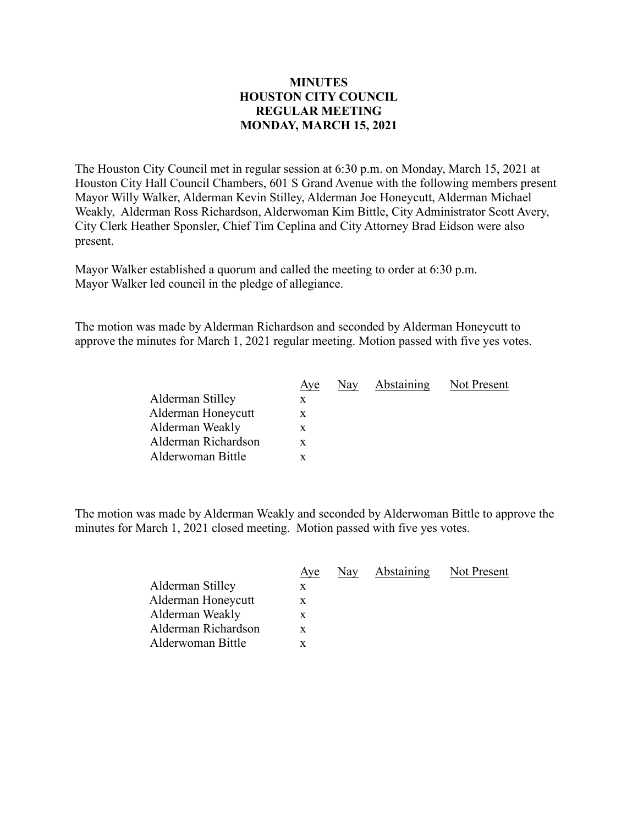## **MINUTES HOUSTON CITY COUNCIL REGULAR MEETING MONDAY, MARCH 15, 2021**

The Houston City Council met in regular session at 6:30 p.m. on Monday, March 15, 2021 at Houston City Hall Council Chambers, 601 S Grand Avenue with the following members present Mayor Willy Walker, Alderman Kevin Stilley, Alderman Joe Honeycutt, Alderman Michael Weakly, Alderman Ross Richardson, Alderwoman Kim Bittle, City Administrator Scott Avery, City Clerk Heather Sponsler, Chief Tim Ceplina and City Attorney Brad Eidson were also present.

Mayor Walker established a quorum and called the meeting to order at 6:30 p.m. Mayor Walker led council in the pledge of allegiance.

The motion was made by Alderman Richardson and seconded by Alderman Honeycutt to approve the minutes for March 1, 2021 regular meeting. Motion passed with five yes votes.

|                     | Aye | Nay | Abstaining | Not Present |
|---------------------|-----|-----|------------|-------------|
| Alderman Stilley    |     |     |            |             |
| Alderman Honeycutt  |     |     |            |             |
| Alderman Weakly     | X   |     |            |             |
| Alderman Richardson | X.  |     |            |             |
| Alderwoman Bittle   |     |     |            |             |

The motion was made by Alderman Weakly and seconded by Alderwoman Bittle to approve the minutes for March 1, 2021 closed meeting. Motion passed with five yes votes.

|                     | Aye | Nay | Abstaining | Not Present |
|---------------------|-----|-----|------------|-------------|
| Alderman Stilley    | X   |     |            |             |
| Alderman Honeycutt  | X.  |     |            |             |
| Alderman Weakly     | X   |     |            |             |
| Alderman Richardson | X   |     |            |             |
| Alderwoman Bittle   |     |     |            |             |
|                     |     |     |            |             |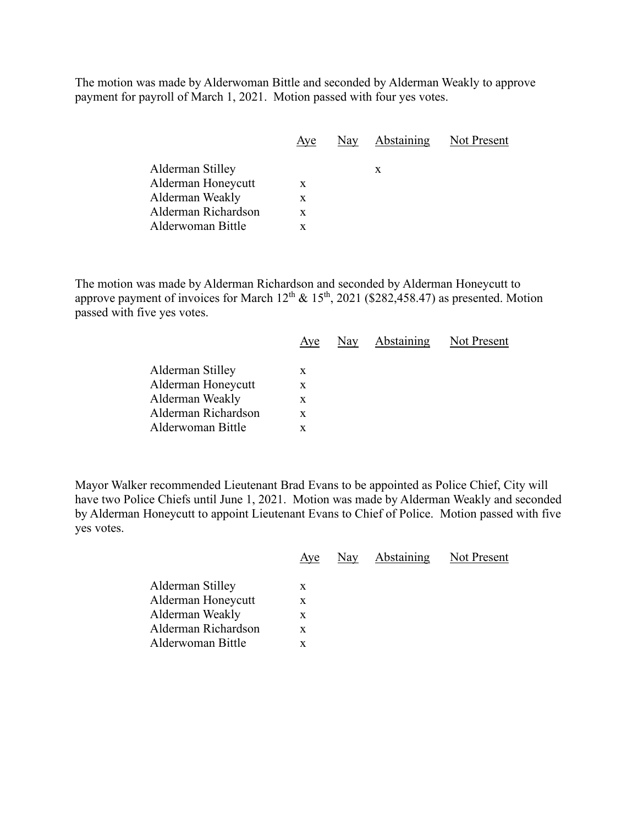The motion was made by Alderwoman Bittle and seconded by Alderman Weakly to approve payment for payroll of March 1, 2021. Motion passed with four yes votes.

|                     | Aye | Nay | <b>Abstaining</b> | Not Present |
|---------------------|-----|-----|-------------------|-------------|
|                     |     |     |                   |             |
| Alderman Stilley    |     |     | X                 |             |
| Alderman Honeycutt  | X   |     |                   |             |
| Alderman Weakly     | X   |     |                   |             |
| Alderman Richardson | X   |     |                   |             |
| Alderwoman Bittle   |     |     |                   |             |

The motion was made by Alderman Richardson and seconded by Alderman Honeycutt to approve payment of invoices for March  $12<sup>th</sup>$  &  $15<sup>th</sup>$ , 2021 (\$282,458.47) as presented. Motion passed with five yes votes.

|                     | Aye |  | Nay Abstaining Not Present |
|---------------------|-----|--|----------------------------|
| Alderman Stilley    | X   |  |                            |
| Alderman Honeycutt  | X   |  |                            |
| Alderman Weakly     | X   |  |                            |
| Alderman Richardson | X   |  |                            |
| Alderwoman Bittle   | x   |  |                            |
|                     |     |  |                            |

Mayor Walker recommended Lieutenant Brad Evans to be appointed as Police Chief, City will have two Police Chiefs until June 1, 2021. Motion was made by Alderman Weakly and seconded by Alderman Honeycutt to appoint Lieutenant Evans to Chief of Police. Motion passed with five yes votes.

|                                                                                                       | Aye                   | Nay | Abstaining | Not Present |
|-------------------------------------------------------------------------------------------------------|-----------------------|-----|------------|-------------|
| Alderman Stilley<br>Alderman Honeycutt<br>Alderman Weakly<br>Alderman Richardson<br>Alderwoman Bittle | X<br>X<br>X<br>X<br>X |     |            |             |
|                                                                                                       |                       |     |            |             |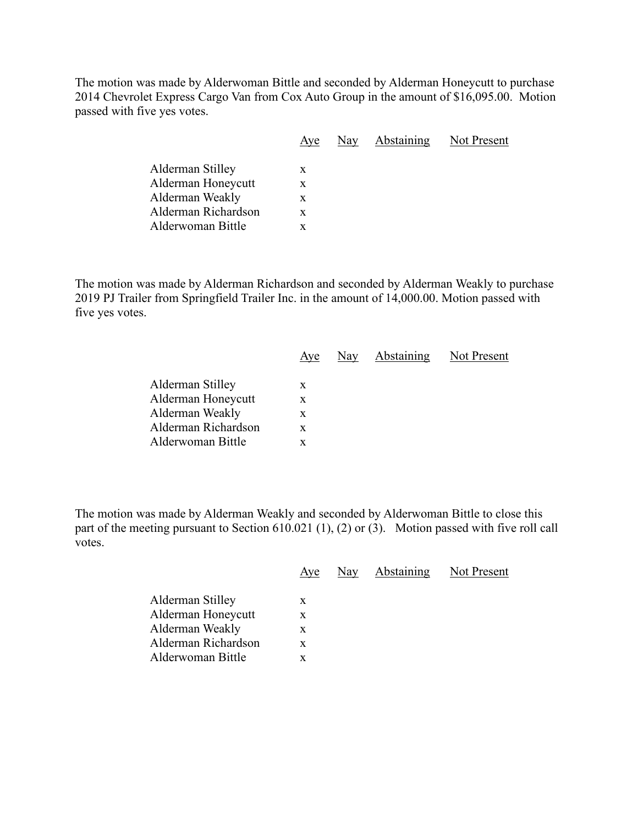The motion was made by Alderwoman Bittle and seconded by Alderman Honeycutt to purchase 2014 Chevrolet Express Cargo Van from Cox Auto Group in the amount of \$16,095.00. Motion passed with five yes votes.

| Aye | Nay |                               |
|-----|-----|-------------------------------|
|     |     |                               |
|     |     |                               |
| X   |     |                               |
| X.  |     |                               |
| x   |     |                               |
| x   |     |                               |
|     | X   | <b>Abstaining</b> Not Present |

The motion was made by Alderman Richardson and seconded by Alderman Weakly to purchase 2019 PJ Trailer from Springfield Trailer Inc. in the amount of 14,000.00. Motion passed with five yes votes.

|                     | Aye | Nay Abstaining | Not Present |
|---------------------|-----|----------------|-------------|
| Alderman Stilley    | X   |                |             |
| Alderman Honeycutt  | X   |                |             |
| Alderman Weakly     | X   |                |             |
| Alderman Richardson | X   |                |             |
| Alderwoman Bittle   | X   |                |             |
|                     |     |                |             |

The motion was made by Alderman Weakly and seconded by Alderwoman Bittle to close this part of the meeting pursuant to Section 610.021 (1), (2) or (3). Motion passed with five roll call votes.

|                                                                                                       | Aye                   | Nay | Abstaining | Not Present |
|-------------------------------------------------------------------------------------------------------|-----------------------|-----|------------|-------------|
| Alderman Stilley<br>Alderman Honeycutt<br>Alderman Weakly<br>Alderman Richardson<br>Alderwoman Bittle | X<br>X<br>x<br>X<br>X |     |            |             |